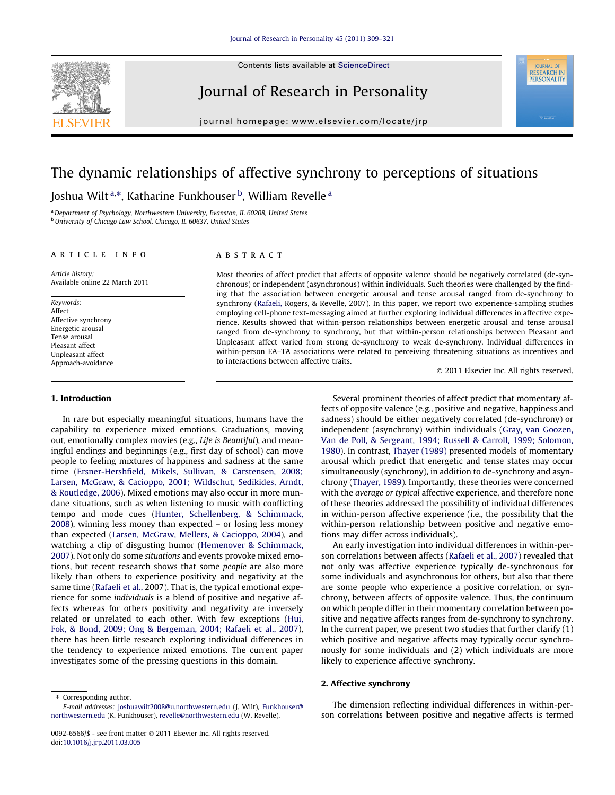

Contents lists available at ScienceDirect

Journal of Research in Personality



journal homepage: www.elsevier.com/locate/jrp

# The dynamic relationships of affective synchrony to perceptions of situations

# Joshua Wilt<sup>a,</sup>\*, Katharine Funkhouser <sup>b</sup>, William Revelle <sup>a</sup>

a Department of Psychology, Northwestern University, Evanston, IL 60208, United States **b University of Chicago Law School, Chicago, IL 60637, United States** 

# article info

Article history: Available online 22 March 2011

Keywords: Affect Affective synchrony Energetic arousal Tense arousal Pleasant affect Unpleasant affect Approach-avoidance

### 1. Introduction

In rare but especially meaningful situations, humans have the capability to experience mixed emotions. Graduations, moving out, emotionally complex movies (e.g., Life is Beautiful), and meaningful endings and beginnings (e.g., first day of school) can move people to feeling mixtures of happiness and sadness at the same time (Ersner-Hershfield, Mikels, Sullivan, & Carstensen, 2008; Larsen, McGraw, & Cacioppo, 2001; Wildschut, Sedikides, Arndt, & Routledge, 2006). Mixed emotions may also occur in more mundane situations, such as when listening to music with conflicting tempo and mode cues (Hunter, Schellenberg, & Schimmack, 2008), winning less money than expected – or losing less money than expected (Larsen, McGraw, Mellers, & Cacioppo, 2004), and watching a clip of disgusting humor (Hemenover & Schimmack, 2007). Not only do some situations and events provoke mixed emotions, but recent research shows that some people are also more likely than others to experience positivity and negativity at the same time (Rafaeli et al., 2007). That is, the typical emotional experience for some individuals is a blend of positive and negative affects whereas for others positivity and negativity are inversely related or unrelated to each other. With few exceptions (Hui, Fok, & Bond, 2009; Ong & Bergeman, 2004; Rafaeli et al., 2007), there has been little research exploring individual differences in the tendency to experience mixed emotions. The current paper investigates some of the pressing questions in this domain.

\* Corresponding author.

E-mail addresses: joshuawilt2008@u.northwestern.edu (J. Wilt), Funkhouser@ northwestern.edu (K. Funkhouser), revelle@northwestern.edu (W. Revelle).

### ABSTRACT

Most theories of affect predict that affects of opposite valence should be negatively correlated (de-synchronous) or independent (asynchronous) within individuals. Such theories were challenged by the finding that the association between energetic arousal and tense arousal ranged from de-synchrony to synchrony (Rafaeli, Rogers, & Revelle, 2007). In this paper, we report two experience-sampling studies employing cell-phone text-messaging aimed at further exploring individual differences in affective experience. Results showed that within-person relationships between energetic arousal and tense arousal ranged from de-synchrony to synchrony, but that within-person relationships between Pleasant and Unpleasant affect varied from strong de-synchrony to weak de-synchrony. Individual differences in within-person EA–TA associations were related to perceiving threatening situations as incentives and to interactions between affective traits.

 $©$  2011 Elsevier Inc. All rights reserved.

Several prominent theories of affect predict that momentary affects of opposite valence (e.g., positive and negative, happiness and sadness) should be either negatively correlated (de-synchrony) or independent (asynchrony) within individuals (Gray, van Goozen, Van de Poll, & Sergeant, 1994; Russell & Carroll, 1999; Solomon, 1980). In contrast, Thayer (1989) presented models of momentary arousal which predict that energetic and tense states may occur simultaneously (synchrony), in addition to de-synchrony and asynchrony (Thayer, 1989). Importantly, these theories were concerned with the average or typical affective experience, and therefore none of these theories addressed the possibility of individual differences in within-person affective experience (i.e., the possibility that the within-person relationship between positive and negative emotions may differ across individuals).

An early investigation into individual differences in within-person correlations between affects (Rafaeli et al., 2007) revealed that not only was affective experience typically de-synchronous for some individuals and asynchronous for others, but also that there are some people who experience a positive correlation, or synchrony, between affects of opposite valence. Thus, the continuum on which people differ in their momentary correlation between positive and negative affects ranges from de-synchrony to synchrony. In the current paper, we present two studies that further clarify (1) which positive and negative affects may typically occur synchronously for some individuals and (2) which individuals are more likely to experience affective synchrony.

# 2. Affective synchrony

The dimension reflecting individual differences in within-person correlations between positive and negative affects is termed

<sup>0092-6566/\$ -</sup> see front matter @ 2011 Elsevier Inc. All rights reserved. doi:10.1016/j.jrp.2011.03.005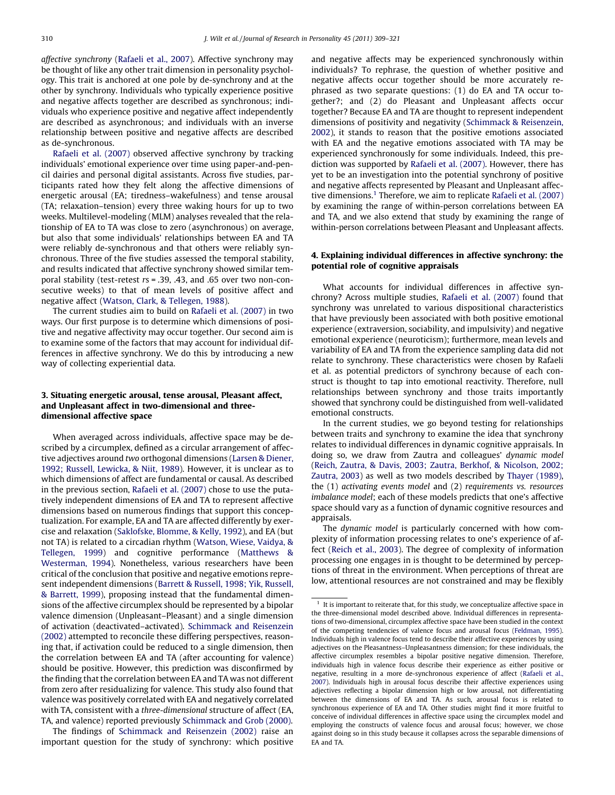affective synchrony (Rafaeli et al., 2007). Affective synchrony may be thought of like any other trait dimension in personality psychology. This trait is anchored at one pole by de-synchrony and at the other by synchrony. Individuals who typically experience positive and negative affects together are described as synchronous; individuals who experience positive and negative affect independently are described as asynchronous; and individuals with an inverse relationship between positive and negative affects are described as de-synchronous.

Rafaeli et al. (2007) observed affective synchrony by tracking individuals' emotional experience over time using paper-and-pencil dairies and personal digital assistants. Across five studies, participants rated how they felt along the affective dimensions of energetic arousal (EA; tiredness–wakefulness) and tense arousal (TA; relaxation–tension) every three waking hours for up to two weeks. Multilevel-modeling (MLM) analyses revealed that the relationship of EA to TA was close to zero (asynchronous) on average, but also that some individuals' relationships between EA and TA were reliably de-synchronous and that others were reliably synchronous. Three of the five studies assessed the temporal stability, and results indicated that affective synchrony showed similar temporal stability (test-retest rs = .39, .43, and .65 over two non-consecutive weeks) to that of mean levels of positive affect and negative affect (Watson, Clark, & Tellegen, 1988).

The current studies aim to build on Rafaeli et al. (2007) in two ways. Our first purpose is to determine which dimensions of positive and negative affectivity may occur together. Our second aim is to examine some of the factors that may account for individual differences in affective synchrony. We do this by introducing a new way of collecting experiential data.

# 3. Situating energetic arousal, tense arousal, Pleasant affect, and Unpleasant affect in two-dimensional and threedimensional affective space

When averaged across individuals, affective space may be described by a circumplex, defined as a circular arrangement of affective adjectives around two orthogonal dimensions (Larsen & Diener, 1992; Russell, Lewicka, & Niit, 1989). However, it is unclear as to which dimensions of affect are fundamental or causal. As described in the previous section, Rafaeli et al. (2007) chose to use the putatively independent dimensions of EA and TA to represent affective dimensions based on numerous findings that support this conceptualization. For example, EA and TA are affected differently by exercise and relaxation (Saklofske, Blomme, & Kelly, 1992), and EA (but not TA) is related to a circadian rhythm (Watson, Wiese, Vaidya, & Tellegen, 1999) and cognitive performance (Matthews & Westerman, 1994). Nonetheless, various researchers have been critical of the conclusion that positive and negative emotions represent independent dimensions (Barrett & Russell, 1998; Yik, Russell, & Barrett, 1999), proposing instead that the fundamental dimensions of the affective circumplex should be represented by a bipolar valence dimension (Unpleasant–Pleasant) and a single dimension of activation (deactivated–activated). Schimmack and Reisenzein (2002) attempted to reconcile these differing perspectives, reasoning that, if activation could be reduced to a single dimension, then the correlation between EA and TA (after accounting for valence) should be positive. However, this prediction was disconfirmed by the finding that the correlation between EA and TA was not different from zero after residualizing for valence. This study also found that valence was positively correlated with EA and negatively correlated with TA, consistent with a three-dimensional structure of affect (EA, TA, and valence) reported previously Schimmack and Grob (2000).

The findings of Schimmack and Reisenzein (2002) raise an important question for the study of synchrony: which positive and negative affects may be experienced synchronously within individuals? To rephrase, the question of whether positive and negative affects occur together should be more accurately rephrased as two separate questions: (1) do EA and TA occur together?; and (2) do Pleasant and Unpleasant affects occur together? Because EA and TA are thought to represent independent dimensions of positivity and negativity (Schimmack & Reisenzein, 2002), it stands to reason that the positive emotions associated with EA and the negative emotions associated with TA may be experienced synchronously for some individuals. Indeed, this prediction was supported by Rafaeli et al. (2007). However, there has yet to be an investigation into the potential synchrony of positive and negative affects represented by Pleasant and Unpleasant affective dimensions.<sup>1</sup> Therefore, we aim to replicate Rafaeli et al.  $(2007)$ by examining the range of within-person correlations between EA and TA, and we also extend that study by examining the range of within-person correlations between Pleasant and Unpleasant affects.

# 4. Explaining individual differences in affective synchrony: the potential role of cognitive appraisals

What accounts for individual differences in affective synchrony? Across multiple studies, Rafaeli et al. (2007) found that synchrony was unrelated to various dispositional characteristics that have previously been associated with both positive emotional experience (extraversion, sociability, and impulsivity) and negative emotional experience (neuroticism); furthermore, mean levels and variability of EA and TA from the experience sampling data did not relate to synchrony. These characteristics were chosen by Rafaeli et al. as potential predictors of synchrony because of each construct is thought to tap into emotional reactivity. Therefore, null relationships between synchrony and those traits importantly showed that synchrony could be distinguished from well-validated emotional constructs.

In the current studies, we go beyond testing for relationships between traits and synchrony to examine the idea that synchrony relates to individual differences in dynamic cognitive appraisals. In doing so, we draw from Zautra and colleagues' dynamic model (Reich, Zautra, & Davis, 2003; Zautra, Berkhof, & Nicolson, 2002; Zautra, 2003) as well as two models described by Thayer (1989), the (1) activating events model and (2) requirements vs. resources imbalance model; each of these models predicts that one's affective space should vary as a function of dynamic cognitive resources and appraisals.

The dynamic model is particularly concerned with how complexity of information processing relates to one's experience of affect (Reich et al., 2003). The degree of complexity of information processing one engages in is thought to be determined by perceptions of threat in the environment. When perceptions of threat are low, attentional resources are not constrained and may be flexibly

 $1$  It is important to reiterate that, for this study, we conceptualize affective space in the three-dimensional model described above. Individual differences in representations of two-dimensional, circumplex affective space have been studied in the context of the competing tendencies of valence focus and arousal focus (Feldman, 1995). Individuals high in valence focus tend to describe their affective experiences by using adjectives on the Pleasantness–Unpleasantness dimension; for these individuals, the affective circumplex resembles a bipolar positive negative dimension. Therefore, individuals high in valence focus describe their experience as either positive or negative, resulting in a more de-synchronous experience of affect (Rafaeli et al., 2007). Individuals high in arousal focus describe their affective experiences using adjectives reflecting a bipolar dimension high or low arousal, not differentiating between the dimensions of EA and TA. As such, arousal focus is related to synchronous experience of EA and TA. Other studies might find it more fruitful to conceive of individual differences in affective space using the circumplex model and employing the constructs of valence focus and arousal focus; however, we chose against doing so in this study because it collapses across the separable dimensions of EA and TA.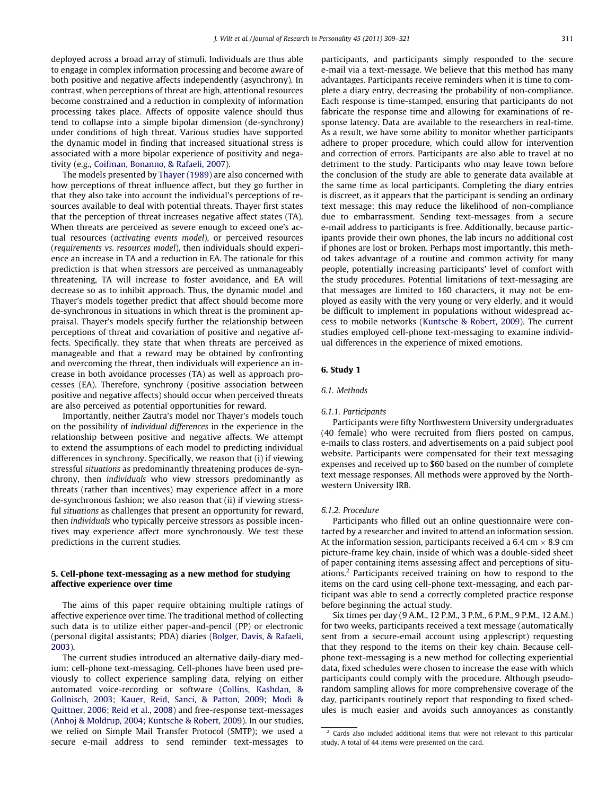deployed across a broad array of stimuli. Individuals are thus able to engage in complex information processing and become aware of both positive and negative affects independently (asynchrony). In contrast, when perceptions of threat are high, attentional resources become constrained and a reduction in complexity of information processing takes place. Affects of opposite valence should thus tend to collapse into a simple bipolar dimension (de-synchrony) under conditions of high threat. Various studies have supported the dynamic model in finding that increased situational stress is associated with a more bipolar experience of positivity and negativity (e.g., Coifman, Bonanno, & Rafaeli, 2007).

The models presented by Thayer (1989) are also concerned with how perceptions of threat influence affect, but they go further in that they also take into account the individual's perceptions of resources available to deal with potential threats. Thayer first states that the perception of threat increases negative affect states (TA). When threats are perceived as severe enough to exceed one's actual resources (activating events model), or perceived resources (requirements vs. resources model), then individuals should experience an increase in TA and a reduction in EA. The rationale for this prediction is that when stressors are perceived as unmanageably threatening, TA will increase to foster avoidance, and EA will decrease so as to inhibit approach. Thus, the dynamic model and Thayer's models together predict that affect should become more de-synchronous in situations in which threat is the prominent appraisal. Thayer's models specify further the relationship between perceptions of threat and covariation of positive and negative affects. Specifically, they state that when threats are perceived as manageable and that a reward may be obtained by confronting and overcoming the threat, then individuals will experience an increase in both avoidance processes (TA) as well as approach processes (EA). Therefore, synchrony (positive association between positive and negative affects) should occur when perceived threats are also perceived as potential opportunities for reward.

Importantly, neither Zautra's model nor Thayer's models touch on the possibility of individual differences in the experience in the relationship between positive and negative affects. We attempt to extend the assumptions of each model to predicting individual differences in synchrony. Specifically, we reason that (i) if viewing stressful situations as predominantly threatening produces de-synchrony, then individuals who view stressors predominantly as threats (rather than incentives) may experience affect in a more de-synchronous fashion; we also reason that (ii) if viewing stressful situations as challenges that present an opportunity for reward, then individuals who typically perceive stressors as possible incentives may experience affect more synchronously. We test these predictions in the current studies.

# 5. Cell-phone text-messaging as a new method for studying affective experience over time

The aims of this paper require obtaining multiple ratings of affective experience over time. The traditional method of collecting such data is to utilize either paper-and-pencil (PP) or electronic (personal digital assistants; PDA) diaries (Bolger, Davis, & Rafaeli, 2003).

The current studies introduced an alternative daily-diary medium: cell-phone text-messaging. Cell-phones have been used previously to collect experience sampling data, relying on either automated voice-recording or software (Collins, Kashdan, & Gollnisch, 2003; Kauer, Reid, Sanci, & Patton, 2009; Modi & Quittner, 2006; Reid et al., 2008) and free-response text-messages (Anhoj & Moldrup, 2004; Kuntsche & Robert, 2009). In our studies, we relied on Simple Mail Transfer Protocol (SMTP); we used a secure e-mail address to send reminder text-messages to

participants, and participants simply responded to the secure e-mail via a text-message. We believe that this method has many advantages. Participants receive reminders when it is time to complete a diary entry, decreasing the probability of non-compliance. Each response is time-stamped, ensuring that participants do not fabricate the response time and allowing for examinations of response latency. Data are available to the researchers in real-time. As a result, we have some ability to monitor whether participants adhere to proper procedure, which could allow for intervention and correction of errors. Participants are also able to travel at no detriment to the study. Participants who may leave town before the conclusion of the study are able to generate data available at the same time as local participants. Completing the diary entries is discreet, as it appears that the participant is sending an ordinary text message; this may reduce the likelihood of non-compliance due to embarrassment. Sending text-messages from a secure e-mail address to participants is free. Additionally, because participants provide their own phones, the lab incurs no additional cost if phones are lost or broken. Perhaps most importantly, this method takes advantage of a routine and common activity for many people, potentially increasing participants' level of comfort with the study procedures. Potential limitations of text-messaging are that messages are limited to 160 characters, it may not be employed as easily with the very young or very elderly, and it would be difficult to implement in populations without widespread access to mobile networks (Kuntsche & Robert, 2009). The current studies employed cell-phone text-messaging to examine individual differences in the experience of mixed emotions.

### 6. Study 1

# 6.1. Methods

# 6.1.1. Participants

Participants were fifty Northwestern University undergraduates (40 female) who were recruited from fliers posted on campus, e-mails to class rosters, and advertisements on a paid subject pool website. Participants were compensated for their text messaging expenses and received up to \$60 based on the number of complete text message responses. All methods were approved by the Northwestern University IRB.

#### 6.1.2. Procedure

Participants who filled out an online questionnaire were contacted by a researcher and invited to attend an information session. At the information session, participants received a 6.4 cm  $\times$  8.9 cm picture-frame key chain, inside of which was a double-sided sheet of paper containing items assessing affect and perceptions of situations.2 Participants received training on how to respond to the items on the card using cell-phone text-messaging, and each participant was able to send a correctly completed practice response before beginning the actual study.

Six times per day (9 A.M., 12 P.M., 3 P.M., 6 P.M., 9 P.M., 12 A.M.) for two weeks, participants received a text message (automatically sent from a secure-email account using applescript) requesting that they respond to the items on their key chain. Because cellphone text-messaging is a new method for collecting experiential data, fixed schedules were chosen to increase the ease with which participants could comply with the procedure. Although pseudorandom sampling allows for more comprehensive coverage of the day, participants routinely report that responding to fixed schedules is much easier and avoids such annoyances as constantly

<sup>&</sup>lt;sup>2</sup> Cards also included additional items that were not relevant to this particular study. A total of 44 items were presented on the card.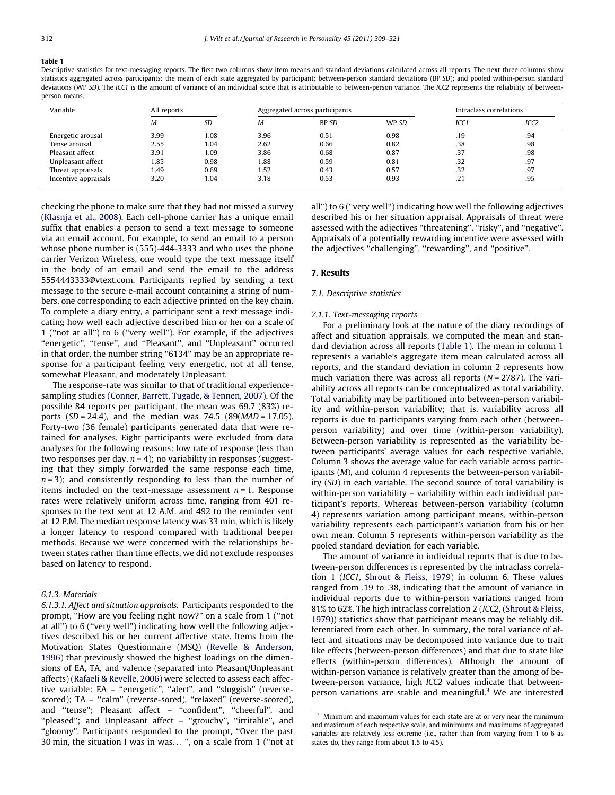#### Table 1

Descriptive statistics for text-messaging reports. The first two columns show item means and standard deviations calculated across all reports. The next three columns show statistics aggregated across participants: the mean of each state aggregated by participant; between-person standard deviations (BP SD); and pooled within-person standard deviations (WP SD). The ICC1 is the amount of variance of an individual score that is attributable to between-person variance. The ICC2 represents the reliability of betweenperson means.

| Variable             | All reports |           | Aggregated across participants |              |       | Intraclass correlations |                  |
|----------------------|-------------|-----------|--------------------------------|--------------|-------|-------------------------|------------------|
|                      | М           | <b>SD</b> | M                              | <b>BP</b> SD | WP SD | ICC <sub>1</sub>        | ICC <sub>2</sub> |
| Energetic arousal    | 3.99        | 1.08      | 3.96                           | 0.51         | 0.98  | .19                     | .94              |
| Tense arousal        | 2.55        | 1.04      | 2.62                           | 0.66         | 0.82  | .38                     | .98              |
| Pleasant affect      | 3.91        | 1.09      | 3.86                           | 0.68         | 0.87  | .37                     | .98              |
| Unpleasant affect    | 1.85        | 0.98      | 1.88                           | 0.59         | 0.81  | .32                     | .97              |
| Threat appraisals    | 1.49        | 0.69      | 1.52                           | 0.43         | 0.57  | .32                     | .97              |
| Incentive appraisals | 3.20        | 1.04      | 3.18                           | 0.53         | 0.93  | .21                     | .95              |

checking the phone to make sure that they had not missed a survey (Klasnja et al., 2008). Each cell-phone carrier has a unique email suffix that enables a person to send a text message to someone via an email account. For example, to send an email to a person whose phone number is (555)-444-3333 and who uses the phone carrier Verizon Wireless, one would type the text message itself in the body of an email and send the email to the address 5554443333@vtext.com. Participants replied by sending a text message to the secure e-mail account containing a string of numbers, one corresponding to each adjective printed on the key chain. To complete a diary entry, a participant sent a text message indicating how well each adjective described him or her on a scale of 1 (''not at all'') to 6 (''very well''). For example, if the adjectives ''energetic'', ''tense'', and ''Pleasant'', and ''Unpleasant'' occurred in that order, the number string "6134" may be an appropriate response for a participant feeling very energetic, not at all tense, somewhat Pleasant, and moderately Unpleasant.

The response-rate was similar to that of traditional experiencesampling studies (Conner, Barrett, Tugade, & Tennen, 2007). Of the possible 84 reports per participant, the mean was 69.7 (83%) reports  $(SD = 24.4)$ , and the median was 74.5  $(89(MAD = 17.05))$ . Forty-two (36 female) participants generated data that were retained for analyses. Eight participants were excluded from data analyses for the following reasons: low rate of response (less than two responses per day,  $n = 4$ ); no variability in responses (suggesting that they simply forwarded the same response each time,  $n = 3$ ; and consistently responding to less than the number of items included on the text-message assessment  $n = 1$ . Response rates were relatively uniform across time, ranging from 401 responses to the text sent at 12 A.M. and 492 to the reminder sent at 12 P.M. The median response latency was 33 min, which is likely a longer latency to respond compared with traditional beeper methods. Because we were concerned with the relationships between states rather than time effects, we did not exclude responses based on latency to respond.

### 6.1.3. Materials

6.1.3.1. Affect and situation appraisals. Participants responded to the prompt, ''How are you feeling right now?'' on a scale from 1 (''not at all'') to 6 (''very well'') indicating how well the following adjectives described his or her current affective state. Items from the Motivation States Questionnaire (MSQ) (Revelle & Anderson, 1996) that previously showed the highest loadings on the dimensions of EA, TA, and valence (separated into Pleasant/Unpleasant affects) (Rafaeli & Revelle, 2006) were selected to assess each affective variable: EA - "energetic", "alert", and "sluggish" (reversescored); TA – "calm" (reverse-sored), "relaxed" (reverse-scored), and ''tense''; Pleasant affect – ''confident'', ''cheerful'', and "pleased"; and Unpleasant affect - "grouchy", "irritable", and ''gloomy''. Participants responded to the prompt, ''Over the past 30 min, the situation I was in was... '', on a scale from 1 (''not at all'') to 6 (''very well'') indicating how well the following adjectives described his or her situation appraisal. Appraisals of threat were assessed with the adjectives ''threatening'', ''risky'', and ''negative''. Appraisals of a potentially rewarding incentive were assessed with the adjectives ''challenging'', ''rewarding'', and ''positive''.

# 7. Results

# 7.1. Descriptive statistics

### 7.1.1. Text-messaging reports

For a preliminary look at the nature of the diary recordings of affect and situation appraisals, we computed the mean and standard deviation across all reports (Table 1). The mean in column 1 represents a variable's aggregate item mean calculated across all reports, and the standard deviation in column 2 represents how much variation there was across all reports  $(N = 2787)$ . The variability across all reports can be conceptualized as total variability. Total variability may be partitioned into between-person variability and within-person variability; that is, variability across all reports is due to participants varying from each other (betweenperson variability) and over time (within-person variability). Between-person variability is represented as the variability between participants' average values for each respective variable. Column 3 shows the average value for each variable across participants (M), and column 4 represents the between-person variability (SD) in each variable. The second source of total variability is within-person variability – variability within each individual participant's reports. Whereas between-person variability (column 4) represents variation among participant means, within-person variability represents each participant's variation from his or her own mean. Column 5 represents within-person variability as the pooled standard deviation for each variable.

The amount of variance in individual reports that is due to between-person differences is represented by the intraclass correlation 1 (ICC1, Shrout & Fleiss, 1979) in column 6. These values ranged from .19 to .38, indicating that the amount of variance in individual reports due to within-person variations ranged from 81% to 62%. The high intraclass correlation 2 (ICC2, (Shrout & Fleiss, 1979)) statistics show that participant means may be reliably differentiated from each other. In summary, the total variance of affect and situations may be decomposed into variance due to trait like effects (between-person differences) and that due to state like effects (within-person differences). Although the amount of within-person variance is relatively greater than the among of between-person variance, high ICC2 values indicate that betweenperson variations are stable and meaningful.<sup>3</sup> We are interested

 $3$  Minimum and maximum values for each state are at or very near the minimum and maximum of each respective scale, and minimums and maximums of aggregated variables are relatively less extreme (i.e., rather than from varying from 1 to 6 as states do, they range from about 1.5 to 4.5).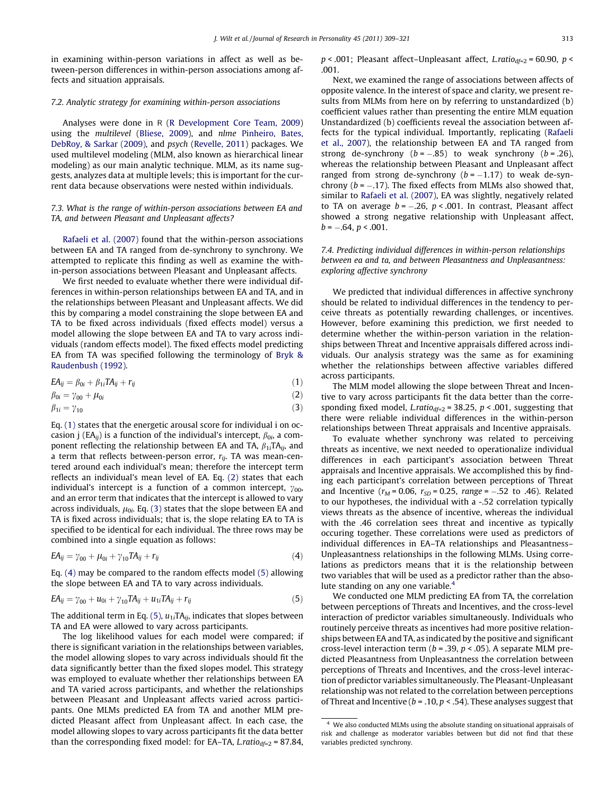in examining within-person variations in affect as well as between-person differences in within-person associations among affects and situation appraisals.

### 7.2. Analytic strategy for examining within-person associations

Analyses were done in R (R Development Core Team, 2009) using the multilevel (Bliese, 2009), and nlme Pinheiro, Bates, DebRoy, & Sarkar (2009), and psych (Revelle, 2011) packages. We used multilevel modeling (MLM, also known as hierarchical linear modeling) as our main analytic technique. MLM, as its name suggests, analyzes data at multiple levels; this is important for the current data because observations were nested within individuals.

# 7.3. What is the range of within-person associations between EA and TA, and between Pleasant and Unpleasant affects?

Rafaeli et al. (2007) found that the within-person associations between EA and TA ranged from de-synchrony to synchrony. We attempted to replicate this finding as well as examine the within-person associations between Pleasant and Unpleasant affects.

We first needed to evaluate whether there were individual differences in within-person relationships between EA and TA, and in the relationships between Pleasant and Unpleasant affects. We did this by comparing a model constraining the slope between EA and TA to be fixed across individuals (fixed effects model) versus a model allowing the slope between EA and TA to vary across individuals (random effects model). The fixed effects model predicting EA from TA was specified following the terminology of Bryk & Raudenbush (1992).

$$
EA_{ij} = \beta_{0i} + \beta_{1i} TA_{ij} + r_{ij}
$$
\n<sup>(1)</sup>

$$
\beta_{0i} = \gamma_{00} + \mu_{0i} \tag{2}
$$

$$
\beta_{1i} = \gamma_{10} \tag{3}
$$

Eq. (1) states that the energetic arousal score for individual i on occasion j (EA<sub>ij</sub>) is a function of the individual's intercept,  $\beta_{0i}$ , a component reflecting the relationship between EA and TA,  $\beta_{1i}TA_{ij}$ , and a term that reflects between-person error,  $r_{ij}$ . TA was mean-centered around each individual's mean; therefore the intercept term reflects an individual's mean level of EA. Eq. (2) states that each individual's intercept is a function of a common intercept,  $\gamma_{00}$ , and an error term that indicates that the intercept is allowed to vary across individuals,  $\mu_{0i}$ . Eq. (3) states that the slope between EA and TA is fixed across individuals; that is, the slope relating EA to TA is specified to be identical for each individual. The three rows may be combined into a single equation as follows:

$$
EA_{ij} = \gamma_{00} + \mu_{0i} + \gamma_{10} TA_{ij} + r_{ij}
$$
\n
$$
\tag{4}
$$

Eq. (4) may be compared to the random effects model (5) allowing the slope between EA and TA to vary across individuals.

$$
EA_{ij} = \gamma_{00} + u_{0i} + \gamma_{10} TA_{ij} + u_{1i} TA_{ij} + r_{ij}
$$
 (5)

The additional term in Eq. (5),  $u_{1i}TA_{ii}$ , indicates that slopes between TA and EA were allowed to vary across participants.

The log likelihood values for each model were compared; if there is significant variation in the relationships between variables, the model allowing slopes to vary across individuals should fit the data significantly better than the fixed slopes model. This strategy was employed to evaluate whether ther relationships between EA and TA varied across participants, and whether the relationships between Pleasant and Unpleasant affects varied across participants. One MLMs predicted EA from TA and another MLM predicted Pleasant affect from Unpleasant affect. In each case, the model allowing slopes to vary across participants fit the data better than the corresponding fixed model: for EA–TA, L.ratio $_{df=2}$  = 87.84,  $p$  < .001; Pleasant affect–Unpleasant affect, L.ratio<sub>df=2</sub> = 60.90,  $p$  < .001.

Next, we examined the range of associations between affects of opposite valence. In the interest of space and clarity, we present results from MLMs from here on by referring to unstandardized (b) coefficient values rather than presenting the entire MLM equation Unstandardized (b) coefficients reveal the association between affects for the typical individual. Importantly, replicating (Rafaeli et al., 2007), the relationship between EA and TA ranged from strong de-synchrony  $(b = -.85)$  to weak synchrony  $(b = .26)$ , whereas the relationship between Pleasant and Unpleasant affect ranged from strong de-synchrony  $(b = -1.17)$  to weak de-synchrony ( $b = -.17$ ). The fixed effects from MLMs also showed that, similar to Rafaeli et al. (2007), EA was slightly, negatively related to TA on average  $b = -.26$ ,  $p < .001$ . In contrast, Pleasant affect showed a strong negative relationship with Unpleasant affect,  $b = -.64, p < .001.$ 

# 7.4. Predicting individual differences in within-person relationships between ea and ta, and between Pleasantness and Unpleasantness: exploring affective synchrony

We predicted that individual differences in affective synchrony should be related to individual differences in the tendency to perceive threats as potentially rewarding challenges, or incentives. However, before examining this prediction, we first needed to determine whether the within-person variation in the relationships between Threat and Incentive appraisals differed across individuals. Our analysis strategy was the same as for examining whether the relationships between affective variables differed across participants.

The MLM model allowing the slope between Threat and Incentive to vary across participants fit the data better than the corresponding fixed model, L.ratio<sub>df=2</sub> = 38.25,  $p < .001$ , suggesting that there were reliable individual differences in the within-person relationships between Threat appraisals and Incentive appraisals.

To evaluate whether synchrony was related to perceiving threats as incentive, we next needed to operationalize individual differences in each participant's association between Threat appraisals and Incentive appraisals. We accomplished this by finding each participant's correlation between perceptions of Threat and Incentive ( $r_M$  = 0.06,  $r_{SD}$  = 0.25, range = -.52 to .46). Related to our hypotheses, the individual with a -.52 correlation typically views threats as the absence of incentive, whereas the individual with the .46 correlation sees threat and incentive as typically occuring together. These correlations were used as predictors of individual differences in EA–TA relationships and Pleasantness– Unpleasantness relationships in the following MLMs. Using correlations as predictors means that it is the relationship between two variables that will be used as a predictor rather than the absolute standing on any one variable.<sup>4</sup>

We conducted one MLM predicting EA from TA, the correlation between perceptions of Threats and Incentives, and the cross-level interaction of predictor variables simultaneously. Individuals who routinely perceive threats as incentives had more positive relationships between EA and TA, as indicated by the positive and significant cross-level interaction term ( $b = 0.39$ ,  $p < 0.05$ ). A separate MLM predicted Pleasantness from Unpleasantness the correlation between perceptions of Threats and Incentives, and the cross-level interaction of predictor variables simultaneously. The Pleasant-Unpleasant relationship was not related to the correlation between perceptions of Threat and Incentive ( $b = .10, p < .54$ ). These analyses suggest that

<sup>4</sup> We also conducted MLMs using the absolute standing on situational appraisals of risk and challenge as moderator variables between but did not find that these variables predicted synchrony.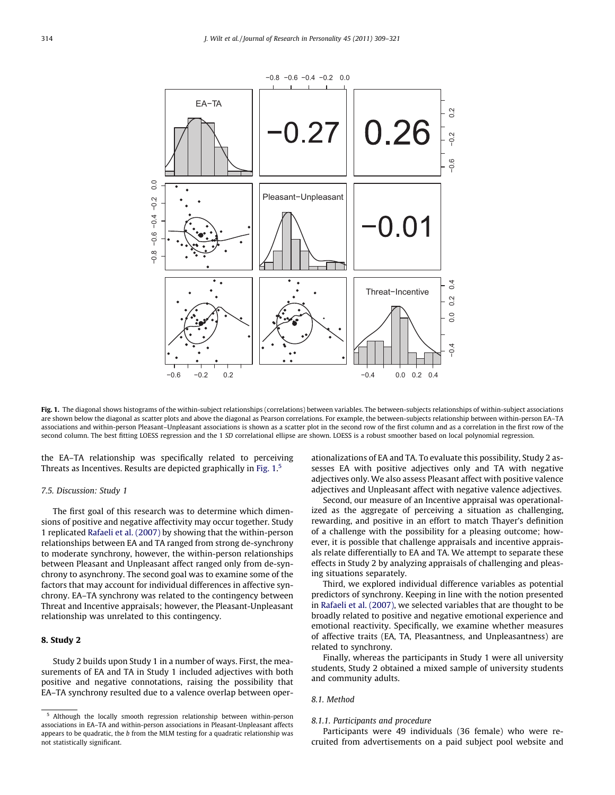

Fig. 1. The diagonal shows histograms of the within-subject relationships (correlations) between variables. The between-subjects relationships of within-subject associations are shown below the diagonal as scatter plots and above the diagonal as Pearson correlations. For example, the between-subjects relationship between within-person EA–TA associations and within-person Pleasant–Unpleasant associations is shown as a scatter plot in the second row of the first column and as a correlation in the first row of the second column. The best fitting LOESS regression and the 1 SD correlational ellipse are shown. LOESS is a robust smoother based on local polynomial regression.

the EA–TA relationship was specifically related to perceiving Threats as Incentives. Results are depicted graphically in Fig.  $1.5\,$ 

# 7.5. Discussion: Study 1

The first goal of this research was to determine which dimensions of positive and negative affectivity may occur together. Study 1 replicated Rafaeli et al. (2007) by showing that the within-person relationships between EA and TA ranged from strong de-synchrony to moderate synchrony, however, the within-person relationships between Pleasant and Unpleasant affect ranged only from de-synchrony to asynchrony. The second goal was to examine some of the factors that may account for individual differences in affective synchrony. EA–TA synchrony was related to the contingency between Threat and Incentive appraisals; however, the Pleasant-Unpleasant relationship was unrelated to this contingency.

# 8. Study 2

Study 2 builds upon Study 1 in a number of ways. First, the measurements of EA and TA in Study 1 included adjectives with both positive and negative connotations, raising the possibility that EA–TA synchrony resulted due to a valence overlap between operationalizations of EA and TA. To evaluate this possibility, Study 2 assesses EA with positive adjectives only and TA with negative adjectives only. We also assess Pleasant affect with positive valence adjectives and Unpleasant affect with negative valence adjectives.

Second, our measure of an Incentive appraisal was operationalized as the aggregate of perceiving a situation as challenging, rewarding, and positive in an effort to match Thayer's definition of a challenge with the possibility for a pleasing outcome; however, it is possible that challenge appraisals and incentive appraisals relate differentially to EA and TA. We attempt to separate these effects in Study 2 by analyzing appraisals of challenging and pleasing situations separately.

Third, we explored individual difference variables as potential predictors of synchrony. Keeping in line with the notion presented in Rafaeli et al. (2007), we selected variables that are thought to be broadly related to positive and negative emotional experience and emotional reactivity. Specifically, we examine whether measures of affective traits (EA, TA, Pleasantness, and Unpleasantness) are related to synchrony.

Finally, whereas the participants in Study 1 were all university students, Study 2 obtained a mixed sample of university students and community adults.

# 8.1. Method

### 8.1.1. Participants and procedure

Participants were 49 individuals (36 female) who were recruited from advertisements on a paid subject pool website and

<sup>5</sup> Although the locally smooth regression relationship between within-person associations in EA–TA and within-person associations in Pleasant-Unpleasant affects appears to be quadratic, the b from the MLM testing for a quadratic relationship was not statistically significant.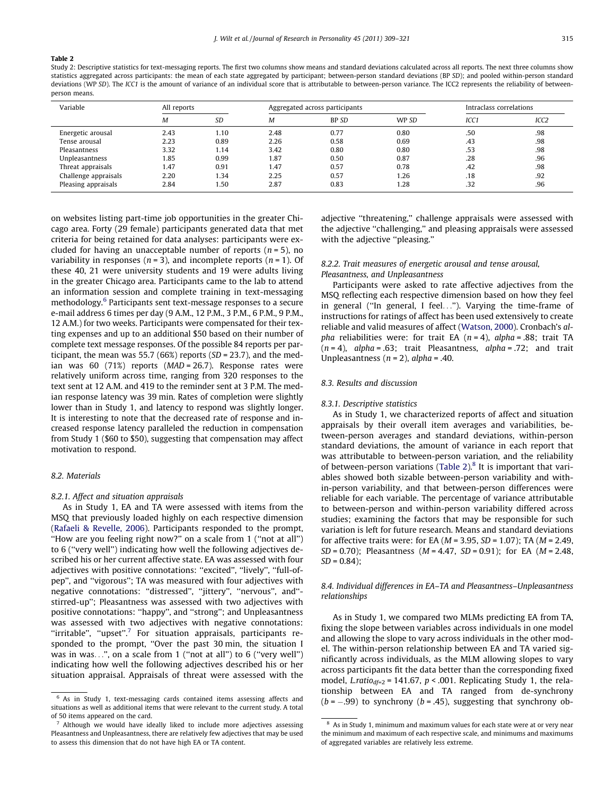### Table 2

Study 2: Descriptive statistics for text-messaging reports. The first two columns show means and standard deviations calculated across all reports. The next three columns show statistics aggregated across participants: the mean of each state aggregated by participant; between-person standard deviations (BP SD); and pooled within-person standard deviations (WP SD). The ICC1 is the amount of variance of an individual score that is attributable to between-person variance. The ICC2 represents the reliability of betweenperson means.

| Variable             | All reports |           | Aggregated across participants |              |       | Intraclass correlations |                  |
|----------------------|-------------|-----------|--------------------------------|--------------|-------|-------------------------|------------------|
|                      | М           | <b>SD</b> | M                              | <b>BP</b> SD | WP SD | ICC <sub>1</sub>        | ICC <sub>2</sub> |
| Energetic arousal    | 2.43        | 1.10      | 2.48                           | 0.77         | 0.80  | .50                     | .98              |
| Tense arousal        | 2.23        | 0.89      | 2.26                           | 0.58         | 0.69  | .43                     | .98              |
| Pleasantness         | 3.32        | 1.14      | 3.42                           | 0.80         | 0.80  | .53                     | .98              |
| Unpleasantness       | 1.85        | 0.99      | 1.87                           | 0.50         | 0.87  | .28                     | .96              |
| Threat appraisals    | 1.47        | 0.91      | 1.47                           | 0.57         | 0.78  | .42                     | .98              |
| Challenge appraisals | 2.20        | 1.34      | 2.25                           | 0.57         | 1.26  | .18                     | .92              |
| Pleasing appraisals  | 2.84        | 1.50      | 2.87                           | 0.83         | 1.28  | .32                     | .96              |

on websites listing part-time job opportunities in the greater Chicago area. Forty (29 female) participants generated data that met criteria for being retained for data analyses: participants were excluded for having an unacceptable number of reports ( $n = 5$ ), no variability in responses ( $n = 3$ ), and incomplete reports ( $n = 1$ ). Of these 40, 21 were university students and 19 were adults living in the greater Chicago area. Participants came to the lab to attend an information session and complete training in text-messaging methodology.<sup>6</sup> Participants sent text-message responses to a secure e-mail address 6 times per day (9 A.M., 12 P.M., 3 P.M., 6 P.M., 9 P.M., 12 A.M.) for two weeks. Participants were compensated for their texting expenses and up to an additional \$50 based on their number of complete text message responses. Of the possible 84 reports per participant, the mean was 55.7 (66%) reports ( $SD = 23.7$ ), and the median was 60 (71%) reports (MAD = 26.7). Response rates were relatively uniform across time, ranging from 320 responses to the text sent at 12 A.M. and 419 to the reminder sent at 3 P.M. The median response latency was 39 min. Rates of completion were slightly lower than in Study 1, and latency to respond was slightly longer. It is interesting to note that the decreased rate of response and increased response latency paralleled the reduction in compensation from Study 1 (\$60 to \$50), suggesting that compensation may affect motivation to respond.

### 8.2. Materials

### 8.2.1. Affect and situation appraisals

As in Study 1, EA and TA were assessed with items from the MSQ that previously loaded highly on each respective dimension (Rafaeli & Revelle, 2006). Participants responded to the prompt, ''How are you feeling right now?'' on a scale from 1 (''not at all'') to 6 (''very well'') indicating how well the following adjectives described his or her current affective state. EA was assessed with four adjectives with positive connotations: ''excited'', ''lively'', ''full-ofpep'', and ''vigorous''; TA was measured with four adjectives with negative connotations: ''distressed'', ''jittery'', ''nervous'', and'' stirred-up''; Pleasantness was assessed with two adjectives with positive connotations: ''happy'', and ''strong''; and Unpleasantness was assessed with two adjectives with negative connotations: "irritable", "upset".<sup>7</sup> For situation appraisals, participants responded to the prompt, ''Over the past 30 min, the situation I was in was...'', on a scale from 1 (''not at all'') to 6 (''very well'') indicating how well the following adjectives described his or her situation appraisal. Appraisals of threat were assessed with the

adjective ''threatening,'' challenge appraisals were assessed with the adjective ''challenging,'' and pleasing appraisals were assessed with the adjective "pleasing."

# 8.2.2. Trait measures of energetic arousal and tense arousal, Pleasantness, and Unpleasantness

Participants were asked to rate affective adjectives from the MSQ reflecting each respective dimension based on how they feel in general (''In general, I feel...''). Varying the time-frame of instructions for ratings of affect has been used extensively to create reliable and valid measures of affect (Watson, 2000). Cronbach's alpha reliabilities were: for trait EA  $(n = 4)$ , alpha = .88; trait TA  $(n = 4)$ , alpha = .63; trait Pleasantness, alpha = .72; and trait Unpleasantness  $(n = 2)$ , alpha = .40.

### 8.3. Results and discussion

### 8.3.1. Descriptive statistics

As in Study 1, we characterized reports of affect and situation appraisals by their overall item averages and variabilities, between-person averages and standard deviations, within-person standard deviations, the amount of variance in each report that was attributable to between-person variation, and the reliability of between-person variations (Table 2). $8$  It is important that variables showed both sizable between-person variability and within-person variability, and that between-person differences were reliable for each variable. The percentage of variance attributable to between-person and within-person variability differed across studies; examining the factors that may be responsible for such variation is left for future research. Means and standard deviations for affective traits were: for EA ( $M = 3.95$ ,  $SD = 1.07$ ); TA ( $M = 2.49$ ,  $SD = 0.70$ ); Pleasantness ( $M = 4.47$ ,  $SD = 0.91$ ); for EA ( $M = 2.48$ ,  $SD = 0.84$ ;

# 8.4. Individual differences in EA–TA and Pleasantness–Unpleasantness relationships

As in Study 1, we compared two MLMs predicting EA from TA, fixing the slope between variables across individuals in one model and allowing the slope to vary across individuals in the other model. The within-person relationship between EA and TA varied significantly across individuals, as the MLM allowing slopes to vary across participants fit the data better than the corresponding fixed model, L.ratio<sub>df=2</sub> = 141.67, p < .001. Replicating Study 1, the relationship between EA and TA ranged from de-synchrony  $(b = -.99)$  to synchrony  $(b = .45)$ , suggesting that synchrony ob-

<sup>&</sup>lt;sup>6</sup> As in Study 1, text-messaging cards contained items assessing affects and situations as well as additional items that were relevant to the current study. A total of 50 items appeared on the card.

Although we would have ideally liked to include more adjectives assessing Pleasantness and Unpleasantness, there are relatively few adjectives that may be used to assess this dimension that do not have high EA or TA content.

<sup>8</sup> As in Study 1, minimum and maximum values for each state were at or very near the minimum and maximum of each respective scale, and minimums and maximums of aggregated variables are relatively less extreme.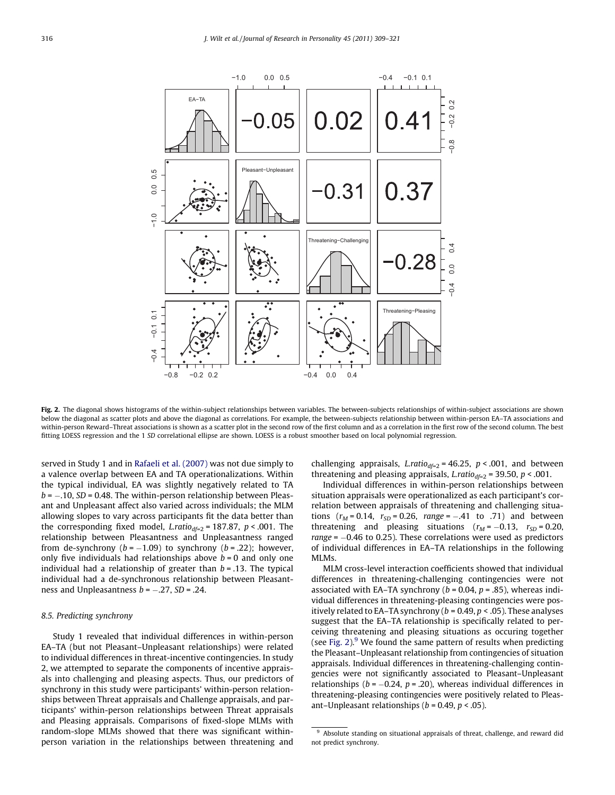

Fig. 2. The diagonal shows histograms of the within-subject relationships between variables. The between-subjects relationships of within-subject associations are shown below the diagonal as scatter plots and above the diagonal as correlations. For example, the between-subjects relationship between within-person EA–TA associations and within-person Reward–Threat associations is shown as a scatter plot in the second row of the first column and as a correlation in the first row of the second column. The best fitting LOESS regression and the 1 SD correlational ellipse are shown. LOESS is a robust smoother based on local polynomial regression.

served in Study 1 and in Rafaeli et al. (2007) was not due simply to a valence overlap between EA and TA operationalizations. Within the typical individual, EA was slightly negatively related to TA  $b = -.10$ ,  $SD = 0.48$ . The within-person relationship between Pleasant and Unpleasant affect also varied across individuals; the MLM allowing slopes to vary across participants fit the data better than the corresponding fixed model, *L.ratio*<sub>df=2</sub> = 187.87,  $p < .001$ . The relationship between Pleasantness and Unpleasantness ranged from de-synchrony ( $b = -1.09$ ) to synchrony ( $b = .22$ ); however, only five individuals had relationships above  $b = 0$  and only one individual had a relationship of greater than  $b = .13$ . The typical individual had a de-synchronous relationship between Pleasantness and Unpleasantness  $b = -.27$ ,  $SD = .24$ .

### 8.5. Predicting synchrony

Study 1 revealed that individual differences in within-person EA–TA (but not Pleasant–Unpleasant relationships) were related to individual differences in threat-incentive contingencies. In study 2, we attempted to separate the components of incentive appraisals into challenging and pleasing aspects. Thus, our predictors of synchrony in this study were participants' within-person relationships between Threat appraisals and Challenge appraisals, and participants' within-person relationships between Threat appraisals and Pleasing appraisals. Comparisons of fixed-slope MLMs with random-slope MLMs showed that there was significant withinperson variation in the relationships between threatening and

challenging appraisals, L.ratio<sub>df=2</sub> = 46.25,  $p < .001$ , and between threatening and pleasing appraisals, L.ratio $_{df=2}$  = 39.50, p < .001.

Individual differences in within-person relationships between situation appraisals were operationalized as each participant's correlation between appraisals of threatening and challenging situations  $(r_M = 0.14, r_{SD} = 0.26, range = -.41$  to .71) and between threatening and pleasing situations  $(r_M = -0.13, r_{SD} = 0.20,$ range  $= -0.46$  to 0.25). These correlations were used as predictors of individual differences in EA–TA relationships in the following MLMs.

MLM cross-level interaction coefficients showed that individual differences in threatening-challenging contingencies were not associated with EA–TA synchrony ( $b = 0.04$ ,  $p = .85$ ), whereas individual differences in threatening-pleasing contingencies were positively related to EA–TA synchrony ( $b = 0.49$ ,  $p < .05$ ). These analyses suggest that the EA–TA relationship is specifically related to perceiving threatening and pleasing situations as occuring together (see Fig.  $2$ ).<sup>9</sup> We found the same pattern of results when predicting the Pleasant–Unpleasant relationship from contingencies of situation appraisals. Individual differences in threatening-challenging contingencies were not significantly associated to Pleasant–Unpleasant relationships ( $b = -0.24$ ,  $p = .20$ ), whereas individual differences in threatening-pleasing contingencies were positively related to Pleasant–Unpleasant relationships ( $b = 0.49$ ,  $p < .05$ ).

 $9$  Absolute standing on situational appraisals of threat, challenge, and reward did not predict synchrony.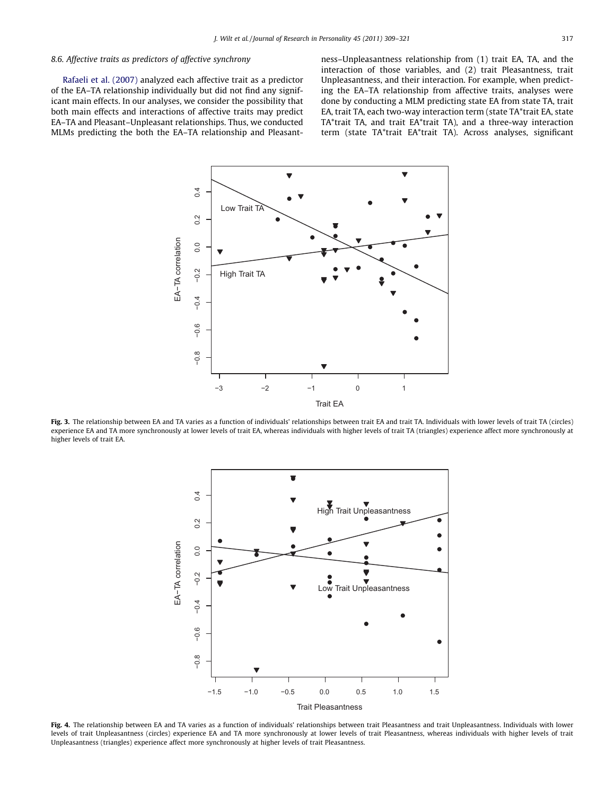# 8.6. Affective traits as predictors of affective synchrony

Rafaeli et al. (2007) analyzed each affective trait as a predictor of the EA–TA relationship individually but did not find any significant main effects. In our analyses, we consider the possibility that both main effects and interactions of affective traits may predict EA–TA and Pleasant–Unpleasant relationships. Thus, we conducted MLMs predicting the both the EA–TA relationship and Pleasant-

ness–Unpleasantness relationship from (1) trait EA, TA, and the interaction of those variables, and (2) trait Pleasantness, trait Unpleasantness, and their interaction. For example, when predicting the EA–TA relationship from affective traits, analyses were done by conducting a MLM predicting state EA from state TA, trait EA, trait TA, each two-way interaction term (state TA\*trait EA, state TA\*trait TA, and trait EA\*trait TA), and a three-way interaction term (state TA\*trait EA\*trait TA). Across analyses, significant



Fig. 3. The relationship between EA and TA varies as a function of individuals' relationships between trait EA and trait TA. Individuals with lower levels of trait TA (circles) experience EA and TA more synchronously at lower levels of trait EA, whereas individuals with higher levels of trait TA (triangles) experience affect more synchronously at higher levels of trait EA.



Fig. 4. The relationship between EA and TA varies as a function of individuals' relationships between trait Pleasantness and trait Unpleasantness. Individuals with lower levels of trait Unpleasantness (circles) experience EA and TA more synchronously at lower levels of trait Pleasantness, whereas individuals with higher levels of trait Unpleasantness (triangles) experience affect more synchronously at higher levels of trait Pleasantness.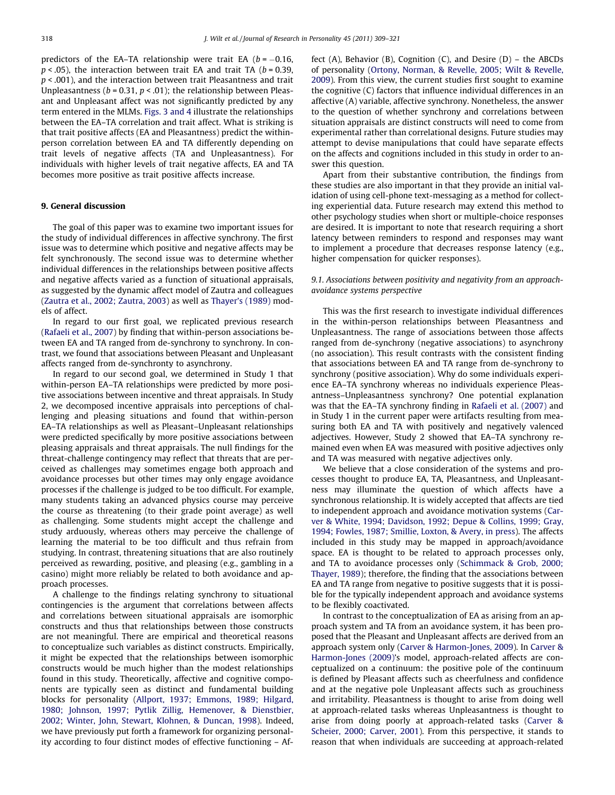predictors of the EA–TA relationship were trait EA ( $b = -0.16$ ,  $p < .05$ ), the interaction between trait EA and trait TA ( $b = 0.39$ ,  $p < .001$ ), and the interaction between trait Pleasantness and trait Unpleasantness ( $b = 0.31$ ,  $p < .01$ ); the relationship between Pleasant and Unpleasant affect was not significantly predicted by any term entered in the MLMs. Figs. 3 and 4 illustrate the relationships between the EA–TA correlation and trait affect. What is striking is that trait positive affects (EA and Pleasantness) predict the withinperson correlation between EA and TA differently depending on trait levels of negative affects (TA and Unpleasantness). For individuals with higher levels of trait negative affects, EA and TA becomes more positive as trait positive affects increase.

# 9. General discussion

The goal of this paper was to examine two important issues for the study of individual differences in affective synchrony. The first issue was to determine which positive and negative affects may be felt synchronously. The second issue was to determine whether individual differences in the relationships between positive affects and negative affects varied as a function of situational appraisals, as suggested by the dynamic affect model of Zautra and colleagues (Zautra et al., 2002; Zautra, 2003) as well as Thayer's (1989) models of affect.

In regard to our first goal, we replicated previous research (Rafaeli et al., 2007) by finding that within-person associations between EA and TA ranged from de-synchrony to synchrony. In contrast, we found that associations between Pleasant and Unpleasant affects ranged from de-synchronty to asynchrony.

In regard to our second goal, we determined in Study 1 that within-person EA–TA relationships were predicted by more positive associations between incentive and threat appraisals. In Study 2, we decomposed incentive appraisals into perceptions of challenging and pleasing situations and found that within-person EA–TA relationships as well as Pleasant–Unpleasant relationships were predicted specifically by more positive associations between pleasing appraisals and threat appraisals. The null findings for the threat-challenge contingency may reflect that threats that are perceived as challenges may sometimes engage both approach and avoidance processes but other times may only engage avoidance processes if the challenge is judged to be too difficult. For example, many students taking an advanced physics course may perceive the course as threatening (to their grade point average) as well as challenging. Some students might accept the challenge and study arduously, whereas others may perceive the challenge of learning the material to be too difficult and thus refrain from studying. In contrast, threatening situations that are also routinely perceived as rewarding, positive, and pleasing (e.g., gambling in a casino) might more reliably be related to both avoidance and approach processes.

A challenge to the findings relating synchrony to situational contingencies is the argument that correlations between affects and correlations between situational appraisals are isomorphic constructs and thus that relationships between those constructs are not meaningful. There are empirical and theoretical reasons to conceptualize such variables as distinct constructs. Empirically, it might be expected that the relationships between isomorphic constructs would be much higher than the modest relationships found in this study. Theoretically, affective and cognitive components are typically seen as distinct and fundamental building blocks for personality (Allport, 1937; Emmons, 1989; Hilgard, 1980; Johnson, 1997; Pytlik Zillig, Hemenover, & Dienstbier, 2002; Winter, John, Stewart, Klohnen, & Duncan, 1998). Indeed, we have previously put forth a framework for organizing personality according to four distinct modes of effective functioning – Affect (A), Behavior (B), Cognition (C), and Desire (D) – the ABCDs of personality (Ortony, Norman, & Revelle, 2005; Wilt & Revelle, 2009). From this view, the current studies first sought to examine the cognitive (C) factors that influence individual differences in an affective (A) variable, affective synchrony. Nonetheless, the answer to the question of whether synchrony and correlations between situation appraisals are distinct constructs will need to come from experimental rather than correlational designs. Future studies may attempt to devise manipulations that could have separate effects on the affects and cognitions included in this study in order to answer this question.

Apart from their substantive contribution, the findings from these studies are also important in that they provide an initial validation of using cell-phone text-messaging as a method for collecting experiential data. Future research may extend this method to other psychology studies when short or multiple-choice responses are desired. It is important to note that research requiring a short latency between reminders to respond and responses may want to implement a procedure that decreases response latency (e.g., higher compensation for quicker responses).

# 9.1. Associations between positivity and negativity from an approachavoidance systems perspective

This was the first research to investigate individual differences in the within-person relationships between Pleasantness and Unpleasantness. The range of associations between those affects ranged from de-synchrony (negative associations) to asynchrony (no association). This result contrasts with the consistent finding that associations between EA and TA range from de-synchrony to synchrony (positive association). Why do some individuals experience EA–TA synchrony whereas no individuals experience Pleasantness–Unpleasantness synchrony? One potential explanation was that the EA–TA synchrony finding in Rafaeli et al. (2007) and in Study 1 in the current paper were artifacts resulting from measuring both EA and TA with positively and negatively valenced adjectives. However, Study 2 showed that EA–TA synchrony remained even when EA was measured with positive adjectives only and TA was measured with negative adjectives only.

We believe that a close consideration of the systems and processes thought to produce EA, TA, Pleasantness, and Unpleasantness may illuminate the question of which affects have a synchronous relationship. It is widely accepted that affects are tied to independent approach and avoidance motivation systems (Carver & White, 1994; Davidson, 1992; Depue & Collins, 1999; Gray, 1994; Fowles, 1987; Smillie, Loxton, & Avery, in press). The affects included in this study may be mapped in approach/avoidance space. EA is thought to be related to approach processes only, and TA to avoidance processes only (Schimmack & Grob, 2000; Thayer, 1989); therefore, the finding that the associations between EA and TA range from negative to positive suggests that it is possible for the typically independent approach and avoidance systems to be flexibly coactivated.

In contrast to the conceptualization of EA as arising from an approach system and TA from an avoidance system, it has been proposed that the Pleasant and Unpleasant affects are derived from an approach system only (Carver & Harmon-Jones, 2009). In Carver & Harmon-Jones (2009)'s model, approach-related affects are conceptualized on a continuum: the positive pole of the continuum is defined by Pleasant affects such as cheerfulness and confidence and at the negative pole Unpleasant affects such as grouchiness and irritability. Pleasantness is thought to arise from doing well at approach-related tasks whereas Unpleasantness is thought to arise from doing poorly at approach-related tasks (Carver & Scheier, 2000; Carver, 2001). From this perspective, it stands to reason that when individuals are succeeding at approach-related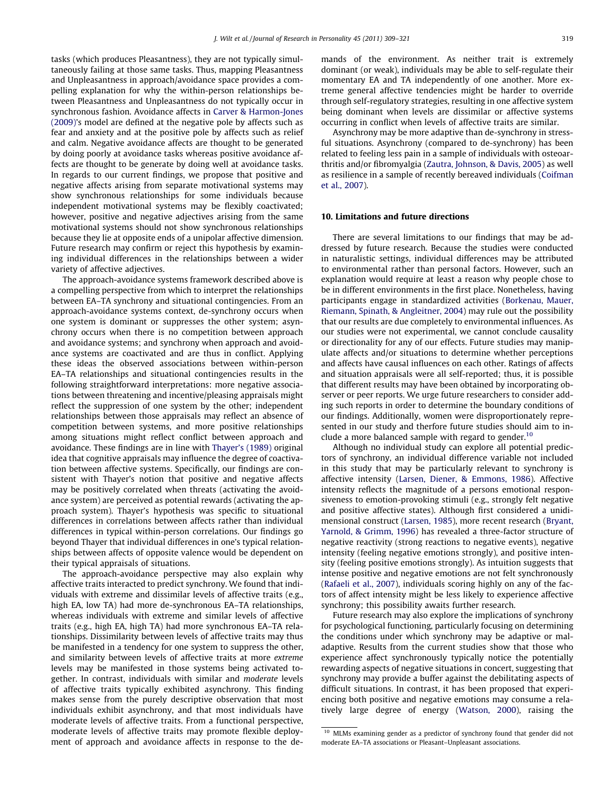tasks (which produces Pleasantness), they are not typically simultaneously failing at those same tasks. Thus, mapping Pleasantness and Unpleasantness in approach/avoidance space provides a compelling explanation for why the within-person relationships between Pleasantness and Unpleasantness do not typically occur in synchronous fashion. Avoidance affects in Carver & Harmon-Jones (2009)'s model are defined at the negative pole by affects such as fear and anxiety and at the positive pole by affects such as relief and calm. Negative avoidance affects are thought to be generated by doing poorly at avoidance tasks whereas positive avoidance affects are thought to be generate by doing well at avoidance tasks. In regards to our current findings, we propose that positive and negative affects arising from separate motivational systems may show synchronous relationships for some individuals because independent motivational systems may be flexibly coactivated; however, positive and negative adjectives arising from the same motivational systems should not show synchronous relationships because they lie at opposite ends of a unipolar affective dimension. Future research may confirm or reject this hypothesis by examining individual differences in the relationships between a wider variety of affective adjectives.

The approach-avoidance systems framework described above is a compelling perspective from which to interpret the relationships between EA–TA synchrony and situational contingencies. From an approach-avoidance systems context, de-synchrony occurs when one system is dominant or suppresses the other system; asynchrony occurs when there is no competition between approach and avoidance systems; and synchrony when approach and avoidance systems are coactivated and are thus in conflict. Applying these ideas the observed associations between within-person EA–TA relationships and situational contingencies results in the following straightforward interpretations: more negative associations between threatening and incentive/pleasing appraisals might reflect the suppression of one system by the other; independent relationships between those appraisals may reflect an absence of competition between systems, and more positive relationships among situations might reflect conflict between approach and avoidance. These findings are in line with Thayer's (1989) original idea that cognitive appraisals may influence the degree of coactivation between affective systems. Specifically, our findings are consistent with Thayer's notion that positive and negative affects may be positively correlated when threats (activating the avoidance system) are perceived as potential rewards (activating the approach system). Thayer's hypothesis was specific to situational differences in correlations between affects rather than individual differences in typical within-person correlations. Our findings go beyond Thayer that individual differences in one's typical relationships between affects of opposite valence would be dependent on their typical appraisals of situations.

The approach-avoidance perspective may also explain why affective traits interacted to predict synchrony. We found that individuals with extreme and dissimilar levels of affective traits (e.g., high EA, low TA) had more de-synchronous EA–TA relationships, whereas individuals with extreme and similar levels of affective traits (e.g., high EA, high TA) had more synchronous EA–TA relationships. Dissimilarity between levels of affective traits may thus be manifested in a tendency for one system to suppress the other, and similarity between levels of affective traits at more extreme levels may be manifested in those systems being activated together. In contrast, individuals with similar and moderate levels of affective traits typically exhibited asynchrony. This finding makes sense from the purely descriptive observation that most individuals exhibit asynchrony, and that most individuals have moderate levels of affective traits. From a functional perspective, moderate levels of affective traits may promote flexible deployment of approach and avoidance affects in response to the de-

mands of the environment. As neither trait is extremely dominant (or weak), individuals may be able to self-regulate their momentary EA and TA independently of one another. More extreme general affective tendencies might be harder to override through self-regulatory strategies, resulting in one affective system being dominant when levels are dissimilar or affective systems occurring in conflict when levels of affective traits are similar.

Asynchrony may be more adaptive than de-synchrony in stressful situations. Asynchrony (compared to de-synchrony) has been related to feeling less pain in a sample of individuals with osteoarthritis and/or fibromyalgia (Zautra, Johnson, & Davis, 2005) as well as resilience in a sample of recently bereaved individuals (Coifman et al., 2007).

### 10. Limitations and future directions

There are several limitations to our findings that may be addressed by future research. Because the studies were conducted in naturalistic settings, individual differences may be attributed to environmental rather than personal factors. However, such an explanation would require at least a reason why people chose to be in different environments in the first place. Nonetheless, having participants engage in standardized activities (Borkenau, Mauer, Riemann, Spinath, & Angleitner, 2004) may rule out the possibility that our results are due completely to environmental influences. As our studies were not experimental, we cannot conclude causality or directionality for any of our effects. Future studies may manipulate affects and/or situations to determine whether perceptions and affects have causal influences on each other. Ratings of affects and situation appraisals were all self-reported; thus, it is possible that different results may have been obtained by incorporating observer or peer reports. We urge future researchers to consider adding such reports in order to determine the boundary conditions of our findings. Additionally, women were disproportionately represented in our study and therfore future studies should aim to include a more balanced sample with regard to gender.<sup>10</sup>

Although no individual study can explore all potential predictors of synchrony, an individual difference variable not included in this study that may be particularly relevant to synchrony is affective intensity (Larsen, Diener, & Emmons, 1986). Affective intensity reflects the magnitude of a persons emotional responsiveness to emotion-provoking stimuli (e.g., strongly felt negative and positive affective states). Although first considered a unidimensional construct (Larsen, 1985), more recent research (Bryant, Yarnold, & Grimm, 1996) has revealed a three-factor structure of negative reactivity (strong reactions to negative events), negative intensity (feeling negative emotions strongly), and positive intensity (feeling positive emotions strongly). As intuition suggests that intense positive and negative emotions are not felt synchronously (Rafaeli et al., 2007), individuals scoring highly on any of the factors of affect intensity might be less likely to experience affective synchrony; this possibility awaits further research.

Future research may also explore the implications of synchrony for psychological functioning, particularly focusing on determining the conditions under which synchrony may be adaptive or maladaptive. Results from the current studies show that those who experience affect synchronously typically notice the potentially rewarding aspects of negative situations in concert, suggesting that synchrony may provide a buffer against the debilitating aspects of difficult situations. In contrast, it has been proposed that experiencing both positive and negative emotions may consume a relatively large degree of energy (Watson, 2000), raising the

 $10$  MLMs examining gender as a predictor of synchrony found that gender did not moderate EA–TA associations or Pleasant–Unpleasant associations.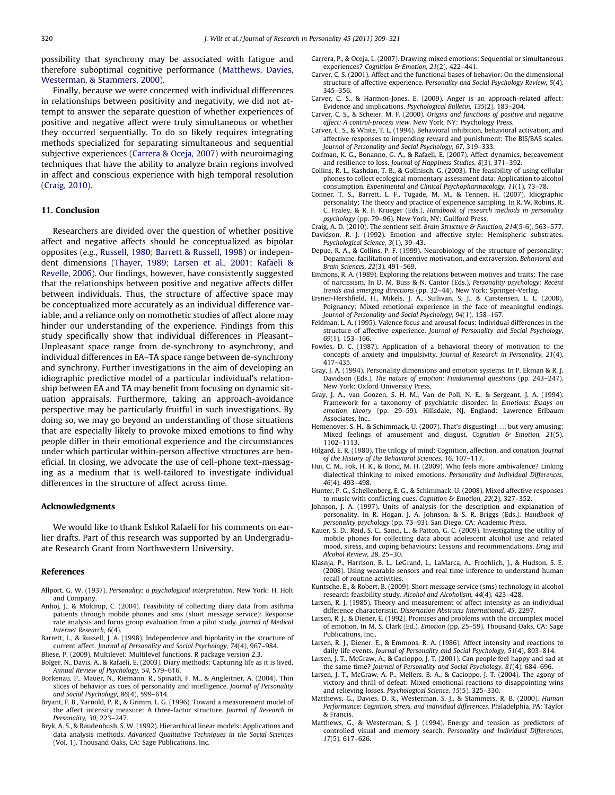possibility that synchrony may be associated with fatigue and therefore suboptimal cognitive performance (Matthews, Davies, Westerman, & Stammers, 2000).

Finally, because we were concerned with individual differences in relationships between positivity and negativity, we did not attempt to answer the separate question of whether experiences of positive and negative affect were truly simultaneous or whether they occurred sequentially. To do so likely requires integrating methods specialized for separating simultaneous and sequential subjective experiences (Carrera & Oceja, 2007) with neuroimaging techniques that have the ability to analyze brain regions involved in affect and conscious experience with high temporal resolution (Craig, 2010).

### 11. Conclusion

Researchers are divided over the question of whether positive affect and negative affects should be conceptualized as bipolar opposites (e.g., Russell, 1980; Barrett & Russell, 1998) or independent dimensions (Thayer, 1989; Larsen et al., 2001; Rafaeli & Revelle, 2006). Our findings, however, have consistently suggested that the relationships between positive and negative affects differ between individuals. Thus, the structure of affective space may be conceptualized more accurately as an individual difference variable, and a reliance only on nomothetic studies of affect alone may hinder our understanding of the experience. Findings from this study specifically show that individual differences in Pleasant– Unpleasant space range from de-synchrony to asynchrony, and individual differences in EA–TA space range between de-synchrony and synchrony. Further investigations in the aim of developing an idiographic predictive model of a particular individual's relationship between EA and TA may benefit from focusing on dynamic situation appraisals. Furthermore, taking an approach-avoidance perspective may be particularly fruitful in such investigations. By doing so, we may go beyond an understanding of those situations that are especially likely to provoke mixed emotions to find why people differ in their emotional experience and the circumstances under which particular within-person affective structures are beneficial. In closing, we advocate the use of cell-phone text-messaging as a medium that is well-tailored to investigate individual differences in the structure of affect across time.

# Acknowledgments

We would like to thank Eshkol Rafaeli for his comments on earlier drafts. Part of this research was supported by an Undergraduate Research Grant from Northwestern University.

### References

- Allport, G. W. (1937). Personality; a psychological interpretation. New York: H. Holt and Company.
- Anhoj, J., & Moldrup, C. (2004). Feasibility of collecting diary data from asthma patients through mobile phones and sms (short message service): Response rate analysis and focus group evaluation from a pilot study. Journal of Medical Internet Research, 6(4).
- Barrett, L., & Russell, J. A. (1998). Independence and bipolarity in the structure of current affect. Journal of Personality and Social Psychology, 74(4), 967–984.
- Bliese, P. (2009). Multilevel: Multilevel functions. R package version 2.3.
- Bolger, N., Davis, A., & Rafaeli, E. (2003). Diary methods: Capturing life as it is lived. Annual Review of Psychology, 54, 579–616.
- Borkenau, P., Mauer, N., Riemann, R., Spinath, F. M., & Angleitner, A. (2004). Thin slices of behavior as cues of personality and intelligence. Journal of Personality and Social Psychology, 86(4), 599–614.
- Bryant, F. B., Yarnold, P. R., & Grimm, L. G. (1996). Toward a measurement model of the affect intensity measure: A three-factor structure. Journal of Research in Personality, 30, 223–247.
- Bryk, A. S., & Raudenbush, S. W. (1992). Hierarchical linear models: Applications and data analysis methods. Advanced Qualitative Techniques in the Social Sciences (Vol. 1). Thousand Oaks, CA: Sage Publications, Inc.
- Carrera, P., & Oceja, L. (2007). Drawing mixed emotions: Sequential or simultaneous experiences? Cognition & Emotion, 21(2), 422-441.
- Carver, C. S. (2001). Affect and the functional bases of behavior: On the dimensional structure of affective experience. Personality and Social Psychology Review, 5(4), 345–356.
- Carver, C. S., & Harmon-Jones, E. (2009). Anger is an approach-related affect: Evidence and implications. Psychological Bulletin, 135(2), 183–204.
- Carver, C. S., & Scheier, M. F. (2000). Origins and functions of positive and negative affect: A control-process view. New York, NY: Psychology Press.
- Carver, C. S., & White, T. L. (1994). Behavioral inhibition, behavioral activation, and affective responses to impending reward and punishment: The BIS/BAS scales. Journal of Personality and Social Psychology, 67, 319–333.
- Coifman, K. G., Bonanno, G. A., & Rafaeli, E. (2007). Affect dynamics, bereavement and resilience to loss. Journal of Happiness Studies, 8(3), 371–392.
- Collins, R. L., Kashdan, T. B., & Gollnisch, G. (2003). The feasibility of using cellular phones to collect ecological momentary assessment data: Application to alcohol consumption. Experimental and Clinical Psychopharmacology, 11(1), 73–78.
- Conner, T. S., Barrett, L. F., Tugade, M. M., & Tennen, H. (2007). Idiographic personality: The theory and practice of experience sampling. In R. W. Robins, R. C. Fraley, & R. F. Krueger (Eds.), Handbook of research methods in personality psychology (pp. 79–96). New York, NY: Guilford Press.
- Craig, A. D. (2010). The sentient self. Brain Structure & Function,  $214(5-6)$ , 563-577.
- Davidson, R. J. (1992). Emotion and affective style: Hemispheric substrates. Psychological Science, 3(1), 39–43.
- Depue, R. A., & Collins, P. F. (1999). Neurobiology of the structure of personality: Dopamine, facilitation of incentive motivation, and extraversion. Behavioral and Brain Sciences, 22(3), 491–569.
- Emmons, R. A. (1989). Exploring the relations between motives and traits: The case of narcissism. In D. M. Buss & N. Cantor (Eds.), Personality psychology: Recent trends and emerging directions (pp. 32–44). New York: Springer-Verlag.
- Ersner-Hershfield, H., Mikels, J. A., Sullivan, S. J., & Carstensen, L. L. (2008). Poignancy: Mixed emotional experience in the face of meaningful endings. Journal of Personality and Social Psychology, 94(1), 158–167.
- Feldman, L. A. (1995). Valence focus and arousal focus: Individual differences in the structure of affective experience. Journal of Personality and Social Psychology, 69(1), 153–166.
- Fowles, D. C. (1987). Application of a behavioral theory of motivation to the concepts of anxiety and impulsivity. Journal of Research in Personality, 21(4), 417–435.
- Gray, J. A. (1994). Personality dimensions and emotion systems. In P. Ekman & R. J. Davidson (Eds.), The nature of emotion: Fundamental questions (pp. 243–247). New York: Oxford University Press.
- Gray, J. A., van Goozen, S. H. M., Van de Poll, N. E., & Sergeant, J. A. (1994). Framework for a taxonomy of psychiatric disorder. In Emotions: Essays on emotion theory (pp. 29–59). Hillsdale, NJ, England: Lawrence Erlbaum Associates, Inc..
- Hemenover, S. H., & Schimmack, U. (2007). That's disgusting!..., but very amusing: Mixed feelings of amusement and disgust. Cognition  $\mathcal G$  Emotion, 21(5), 1102–1113.
- Hilgard, E. R. (1980). The trilogy of mind: Cognition, affection, and conation. Journal of the History of the Behavioral Sciences, 16, 107–117.
- Hui, C. M., Fok, H. K., & Bond, M. H. (2009). Who feels more ambivalence? Linking dialectical thinking to mixed emotions. Personality and Individual Differences, 46(4), 493–498.
- Hunter, P. G., Schellenberg, E. G., & Schimmack, U. (2008). Mixed affective responses to music with conflicting cues. Cognition & Emotion, 22(2), 327-352.
- Johnson, J. A. (1997). Units of analysis for the description and explanation of personality. In R. Hogan, J. A. Johnson, & S. R. Briggs (Eds.), Handbook of personality psychology (pp. 73–93). San Diego, CA: Academic Press.
- Kauer, S. D., Reid, S. C., Sanci, L., & Patton, G. C. (2009). Investigating the utility of mobile phones for collecting data about adolescent alcohol use and related mood, stress, and coping behaviours: Lessons and recommendations. Drug and Alcohol Review, 28, 25–30.
- Klasnja, P., Harrison, B. L., LeGrand, L., LaMarca, A., Froehlich, J., & Hudson, S. E. (2008). Using wearable sensors and real time inference to understand human recall of routine activities.
- Kuntsche, E., & Robert, B. (2009). Short message service (sms) technology in alcohol research feasibility study. Alcohol and Alcoholism, 44(4), 423–428.
- Larsen, R. J. (1985). Theory and measurement of affect intensity as an individual difference characteristic. Dissertation Abstracts International, 45, 2297.
- Larsen, R. J., & Diener, E. (1992). Promises and problems with the circumplex model of emotion. In M. S. Clark (Ed.), Emotion (pp. 25-59). Thousand Oaks, CA: Sage Publications, Inc..
- Larsen, R. J., Diener, E., & Emmons, R. A. (1986). Affect intensity and reactions to daily life events. Journal of Personality and Social Psychology, 51(4), 803–814.
- Larsen, J. T., McGraw, A., & Cacioppo, J. T. (2001). Can people feel happy and sad at the same time? Journal of Personality and Social Psychology, 81(4), 684–696.
- Larsen, J. T., McGraw, A. P., Mellers, B. A., & Cacioppo, J. T. (2004). The agony of victory and thrill of defeat: Mixed emotional reactions to disappointing wins and relieving losses. Psychological Science, 15(5), 325–330.
- Matthews, G., Davies, D. R., Westerman, S. J., & Stammers, R. B. (2000). Human Performance: Cognition, stress, and individual differences. Philadelphia, PA: Taylor & Francis.
- Matthews, G., & Westerman, S. J. (1994). Energy and tension as predictors of controlled visual and memory search. Personality and Individual Differences, 17(5), 617–626.